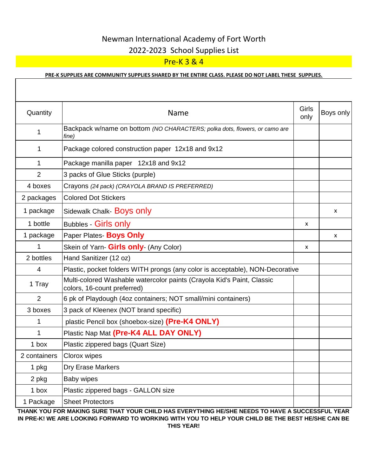# Newman International Academy of Fort Worth 2022-2023 School Supplies List

## Pre-K 3 & 4

### **PRE-K SUPPLIES ARE COMMUNITY SUPPLIES SHARED BY THE ENTIRE CLASS. PLEASE DO NOT LABEL THESE SUPPLIES.**

| Quantity       | <b>Name</b>                                                                                           | Girls<br>only | Boys only |
|----------------|-------------------------------------------------------------------------------------------------------|---------------|-----------|
| 1              | Backpack w/name on bottom (NO CHARACTERS; polka dots, flowers, or camo are<br>fine)                   |               |           |
| 1              | Package colored construction paper 12x18 and 9x12                                                     |               |           |
| 1              | Package manilla paper 12x18 and 9x12                                                                  |               |           |
| $\overline{2}$ | 3 packs of Glue Sticks (purple)                                                                       |               |           |
| 4 boxes        | Crayons (24 pack) (CRAYOLA BRAND IS PREFERRED)                                                        |               |           |
| 2 packages     | <b>Colored Dot Stickers</b>                                                                           |               |           |
| 1 package      | Sidewalk Chalk- Boys only                                                                             |               | X         |
| 1 bottle       | <b>Bubbles - Girls only</b>                                                                           | X             |           |
| 1 package      | Paper Plates- Boys Only                                                                               |               | X         |
| 1              | Skein of Yarn- Girls only- (Any Color)                                                                | X             |           |
| 2 bottles      | Hand Sanitizer (12 oz)                                                                                |               |           |
| 4              | Plastic, pocket folders WITH prongs (any color is acceptable), NON-Decorative                         |               |           |
| 1 Tray         | Multi-colored Washable watercolor paints (Crayola Kid's Paint, Classic<br>colors, 16-count preferred) |               |           |
| $\overline{2}$ | 6 pk of Playdough (4oz containers; NOT small/mini containers)                                         |               |           |
| 3 boxes        | 3 pack of Kleenex (NOT brand specific)                                                                |               |           |
| 1              | plastic Pencil box (shoebox-size) (Pre-K4 ONLY)                                                       |               |           |
| 1              | Plastic Nap Mat (Pre-K4 ALL DAY ONLY)                                                                 |               |           |
| 1 box          | Plastic zippered bags (Quart Size)                                                                    |               |           |
| 2 containers   | Clorox wipes                                                                                          |               |           |
| 1 pkg          | <b>Dry Erase Markers</b>                                                                              |               |           |
| 2 pkg          | <b>Baby wipes</b>                                                                                     |               |           |
| 1 box          | Plastic zippered bags - GALLON size                                                                   |               |           |
| 1 Package      | <b>Sheet Protectors</b>                                                                               |               |           |

**THANK YOU FOR MAKING SURE THAT YOUR CHILD HAS EVERYTHING HE/SHE NEEDS TO HAVE A SUCCESSFUL YEAR IN PRE-K! WE ARE LOOKING FORWARD TO WORKING WITH YOU TO HELP YOUR CHILD BE THE BEST HE/SHE CAN BE THIS YEAR!**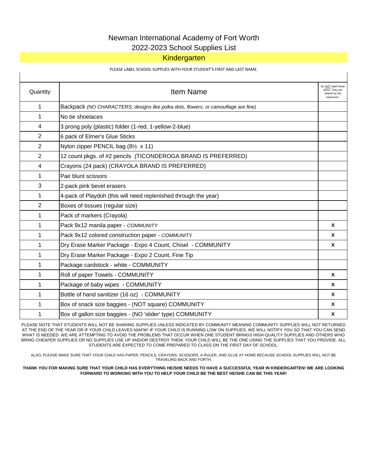# Newman International Academy of Fort Worth

### 2022-2023 School Supplies List

### **Kindergarten**

#### PLEASE LABEL SCHOOL SUPPLIES WITH YOUR STUDENT'S FIRST AND LAST NAME.

| Quantity       | <b>Item Name</b>                                                                   | Do NOT label these<br>items. They are<br>shared by the<br>classroom. |
|----------------|------------------------------------------------------------------------------------|----------------------------------------------------------------------|
| 1              | Backpack (NO CHARACTERS; designs like polka dots, flowers, or camouflage are fine) |                                                                      |
| 1              | No tie shoelaces                                                                   |                                                                      |
| 4              | 3 prong poly (plastic) folder (1-red, 1-yellow-2-blue)                             |                                                                      |
| $\overline{2}$ | 6 pack of Elmer's Glue Sticks                                                      |                                                                      |
| $\overline{2}$ | Nylon zipper PENCIL bag (81/2 x 11)                                                |                                                                      |
| $\overline{2}$ | 12 count pkgs. of #2 pencils (TICONDEROGA BRAND IS PREFERRED)                      |                                                                      |
| 4              | Crayons (24 pack) (CRAYOLA BRAND IS PREFERRED)                                     |                                                                      |
| 1              | Pair blunt scissors                                                                |                                                                      |
| 3              | 2-pack pink bevel erasers                                                          |                                                                      |
| 1              | 4-pack of Playdoh (this will need replenished through the year)                    |                                                                      |
| 2              | Boxes of tissues (regular size)                                                    |                                                                      |
| 1              | Pack of markers (Crayola)                                                          |                                                                      |
| 1              | Pack 9x12 manila paper - COMMUNITY                                                 | $\mathbf{x}$                                                         |
| 1              | Pack 9x12 colored construction paper - COMMUNITY                                   | $\mathbf{x}$                                                         |
| 1              | Dry Erase Marker Package - Expo 4 Count, Chisel - COMMUNITY                        | $\boldsymbol{x}$                                                     |
| 1              | Dry Erase Marker Package - Expo 2 Count, Fine Tip                                  |                                                                      |
| 1              | Package cardstock - white - COMMUNITY                                              |                                                                      |
| 1              | Roll of paper Towels - COMMUNITY                                                   | $\mathbf{x}$                                                         |
| 1              | Package of baby wipes - COMMUNITY                                                  | $\mathbf{x}$                                                         |
| 1              | Bottle of hand sanitizer (16 oz) - COMMUNITY                                       | $\mathsf{x}$                                                         |
| 1              | Box of snack size baggies - (NOT square) COMMUNITY                                 | $\mathsf{x}$                                                         |
| 1              | Box of gallon size baggies - (NO 'slider' type) COMMUNITY                          | X                                                                    |

PLEASE NOTE THAT STUDENTS WILL NOT BE SHARING SUPPLIES UNLESS INDICATED BY COMMUNITY MEANING COMMUNITY SUPPLIES WILL NOT RETURNED AT THE END OF THE YEAR OR IF YOUR CHILD LEAVES NIAFW! IF YOUR CHILD IS RUNNING LOW ON SUPPLIES, WE WILL NOTIFY YOU SO THAT YOU CAN SEND WHAT IS NEEDED. WE ARE ATTEMPTING TO AVOID THE PROBLEMS THAT OCCUR WHEN ONE STUDENT BRINGS HIGH-QUALITY SUPPLIES AND OTHERS WHO BRING CHEAPER SUPPLIES OR NO SUPPLIES USE UP AND/OR DESTROY THEM. YOUR CHILD WILL BE THE ONE USING THE SUPPLIES THAT YOU PROVIDE. ALL STUDENTS ARE EXPECTED TO COME PREPARED TO CLASS ON THE FIRST DAY OF SCHOOL.

ALSO, PLEASE MAKE SURE THAT YOUR CHILD HAS PAPER, PENCILS, CRAYONS, SCISSORS, A RULER, AND GLUE AT HOME BECAUSE SCHOOL SUPPLIES WILL NOT BE TRAVELING BACK AND FORTH.

**THANK YOU FOR MAKING SURE THAT YOUR CHILD HAS EVERYTHING HE/SHE NEEDS TO HAVE A SUCCESSFUL YEAR IN KINDERGARTEN! WE ARE LOOKING FORWARD TO WORKING WITH YOU TO HELP YOUR CHILD BE THE BEST HE/SHE CAN BE THIS YEAR!**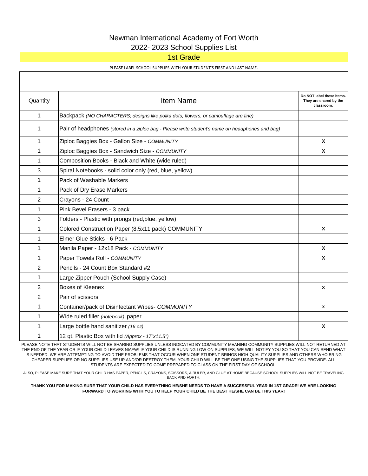### Newman International Academy of Fort Worth 2022- 2023 School Supplies List

### 1st Grade

PLEASE LABEL SCHOOL SUPPLIES WITH YOUR STUDENT'S FIRST AND LAST NAME.

| Quantity     | <b>Item Name</b>                                                                                | Do NOT label these items.<br>They are shared by the<br>classroom. |
|--------------|-------------------------------------------------------------------------------------------------|-------------------------------------------------------------------|
| $\mathbf 1$  | Backpack (NO CHARACTERS; designs like polka dots, flowers, or camouflage are fine)              |                                                                   |
| 1            | Pair of headphones (stored in a ziploc bag - Please write student's name on headphones and bag) |                                                                   |
| $\mathbf{1}$ | Ziploc Baggies Box - Gallon Size - COMMUNITY                                                    | X                                                                 |
| 1            | Ziploc Baggies Box - Sandwich Size - COMMUNITY                                                  | X                                                                 |
| 1            | Composition Books - Black and White (wide ruled)                                                |                                                                   |
| 3            | Spiral Notebooks - solid color only (red, blue, yellow)                                         |                                                                   |
| $\mathbf 1$  | Pack of Washable Markers                                                                        |                                                                   |
| 1            | Pack of Dry Erase Markers                                                                       |                                                                   |
| 2            | Crayons - 24 Count                                                                              |                                                                   |
| 1            | Pink Bevel Erasers - 3 pack                                                                     |                                                                   |
| 3            | Folders - Plastic with prongs (red, blue, yellow)                                               |                                                                   |
| $\mathbf 1$  | Colored Construction Paper (8.5x11 pack) COMMUNITY                                              | $\mathbf{x}$                                                      |
| $\mathbf{1}$ | Elmer Glue Sticks - 6 Pack                                                                      |                                                                   |
| $\mathbf 1$  | Manila Paper - 12x18 Pack - COMMUNITY                                                           | $\mathsf{x}$                                                      |
| 1            | Paper Towels Roll - COMMUNITY                                                                   | X                                                                 |
| 2            | Pencils - 24 Count Box Standard #2                                                              |                                                                   |
| $\mathbf 1$  | Large Zipper Pouch (School Supply Case)                                                         |                                                                   |
| 2            | <b>Boxes of Kleenex</b>                                                                         | x                                                                 |
| 2            | Pair of scissors                                                                                |                                                                   |
| 1            | Container/pack of Disinfectant Wipes- COMMUNITY                                                 | $\mathbf x$                                                       |
| 1            | Wide ruled filler (notebook) paper                                                              |                                                                   |
| 1            | Large bottle hand sanitizer (16 oz)                                                             | X                                                                 |
| 1            | 12 qt. Plastic Box with lid (Approx - 17"x11.5")                                                |                                                                   |

PLEASE NOTE THAT STUDENTS WILL NOT BE SHARING SUPPLIES UNLESS INDICATED BY COMMUNITY MEANING COMMUNITY SUPPLIES WILL NOT RETURNED AT THE END OF THE YEAR OR IF YOUR CHILD LEAVES NIAFW! IF YOUR CHILD IS RUNNING LOW ON SUPPLIES, WE WILL NOTIFY YOU SO THAT YOU CAN SEND WHAT IS NEEDED. WE ARE ATTEMPTING TO AVOID THE PROBLEMS THAT OCCUR WHEN ONE STUDENT BRINGS HIGH-QUALITY SUPPLIES AND OTHERS WHO BRING CHEAPER SUPPLIES OR NO SUPPLIES USE UP AND/OR DESTROY THEM. YOUR CHILD WILL BE THE ONE USING THE SUPPLIES THAT YOU PROVIDE. ALL STUDENTS ARE EXPECTED TO COME PREPARED TO CLASS ON THE FIRST DAY OF SCHOOL.

ALSO, PLEASE MAKE SURE THAT YOUR CHILD HAS PAPER, PENCILS, CRAYONS, SCISSORS, A RULER, AND GLUE AT HOME BECAUSE SCHOOL SUPPLIES WILL NOT BE TRAVELING BACK AND FORTH.

**THANK YOU FOR MAKING SURE THAT YOUR CHILD HAS EVERYTHING HE/SHE NEEDS TO HAVE A SUCCESSFUL YEAR IN 1ST GRADE! WE ARE LOOKING FORWARD TO WORKING WITH YOU TO HELP YOUR CHILD BE THE BEST HE/SHE CAN BE THIS YEAR!**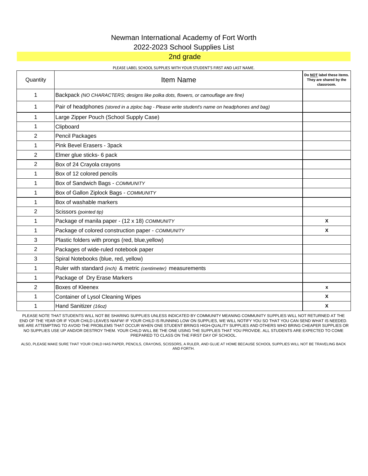### Newman International Academy of Fort Worth 2022-2023 School Supplies List

### 2nd grade

#### PLEASE LABEL SCHOOL SUPPLIES WITH YOUR STUDENT'S FIRST AND LAST NAME.

| Quantity       | <b>Item Name</b>                                                                                | Do NOT label these items.<br>They are shared by the<br>classroom. |
|----------------|-------------------------------------------------------------------------------------------------|-------------------------------------------------------------------|
| 1              | Backpack (NO CHARACTERS; designs like polka dots, flowers, or camouflage are fine)              |                                                                   |
| 1              | Pair of headphones (stored in a ziploc bag - Please write student's name on headphones and bag) |                                                                   |
| 1              | Large Zipper Pouch (School Supply Case)                                                         |                                                                   |
| 1              | Clipboard                                                                                       |                                                                   |
| 2              | Pencil Packages                                                                                 |                                                                   |
| 1              | Pink Bevel Erasers - 3pack                                                                      |                                                                   |
| 2              | Elmer glue sticks- 6 pack                                                                       |                                                                   |
| 2              | Box of 24 Crayola crayons                                                                       |                                                                   |
| 1              | Box of 12 colored pencils                                                                       |                                                                   |
| 1              | Box of Sandwich Bags - COMMUNITY                                                                |                                                                   |
| 1              | Box of Gallon Ziplock Bags - COMMUNITY                                                          |                                                                   |
| 1              | Box of washable markers                                                                         |                                                                   |
| $\overline{2}$ | Scissors (pointed tip)                                                                          |                                                                   |
| 1              | Package of manila paper - (12 x 18) COMMUNITY                                                   | X                                                                 |
| 1              | Package of colored construction paper - COMMUNITY                                               | X                                                                 |
| 3              | Plastic folders with prongs (red, blue, yellow)                                                 |                                                                   |
| 2              | Packages of wide-ruled notebook paper                                                           |                                                                   |
| 3              | Spiral Notebooks (blue, red, yellow)                                                            |                                                                   |
| 1              | Ruler with standard (inch) & metric (centimeter) measurements                                   |                                                                   |
| 1              | Package of Dry Erase Markers                                                                    |                                                                   |
| $\overline{2}$ | Boxes of Kleenex                                                                                | x                                                                 |
| 1              | Container of Lysol Cleaning Wipes                                                               | X                                                                 |
| 1              | Hand Sanitizer (16oz)                                                                           | X                                                                 |

PLEASE NOTE THAT STUDENTS WILL NOT BE SHARING SUPPLIES UNLESS INDICATED BY COMMUNITY MEANING COMMUNITY SUPPLIES WILL NOT RETURNED AT THE END OF THE YEAR OR IF YOUR CHILD LEAVES NIAFW! IF YOUR CHILD IS RUNNING LOW ON SUPPLIES, WE WILL NOTIFY YOU SO THAT YOU CAN SEND WHAT IS NEEDED. WE ARE ATTEMPTING TO AVOID THE PROBLEMS THAT OCCUR WHEN ONE STUDENT BRINGS HIGH-QUALITY SUPPLIES AND OTHERS WHO BRING CHEAPER SUPPLIES OR NO SUPPLIES USE UP AND/OR DESTROY THEM. YOUR CHILD WILL BE THE ONE USING THE SUPPLIES THAT YOU PROVIDE. ALL STUDENTS ARE EXPECTED TO COME PREPARED TO CLASS ON THE FIRST DAY OF SCHOOL.

ALSO, PLEASE MAKE SURE THAT YOUR CHILD HAS PAPER, PENCILS, CRAYONS, SCISSORS, A RULER, AND GLUE AT HOME BECAUSE SCHOOL SUPPLIES WILL NOT BE TRAVELING BACK AND FORTH.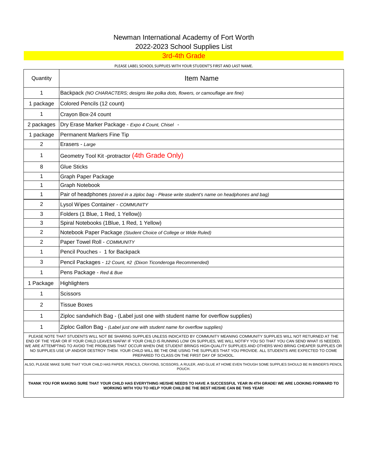# Newman International Academy of Fort Worth

2022-2023 School Supplies List

3rd-4th Grade

#### PLEASE LABEL SCHOOL SUPPLIES WITH YOUR STUDENT'S FIRST AND LAST NAME.

| Quantity                                                                                                                                                                                                                                                                                                                                                                                                                                                                                                                                                                                                                                | <b>Item Name</b>                                                                                |
|-----------------------------------------------------------------------------------------------------------------------------------------------------------------------------------------------------------------------------------------------------------------------------------------------------------------------------------------------------------------------------------------------------------------------------------------------------------------------------------------------------------------------------------------------------------------------------------------------------------------------------------------|-------------------------------------------------------------------------------------------------|
| $\mathbf 1$                                                                                                                                                                                                                                                                                                                                                                                                                                                                                                                                                                                                                             | Backpack (NO CHARACTERS; designs like polka dots, flowers, or camouflage are fine)              |
| 1 package                                                                                                                                                                                                                                                                                                                                                                                                                                                                                                                                                                                                                               | Colored Pencils (12 count)                                                                      |
| 1                                                                                                                                                                                                                                                                                                                                                                                                                                                                                                                                                                                                                                       | Crayon Box-24 count                                                                             |
| 2 packages                                                                                                                                                                                                                                                                                                                                                                                                                                                                                                                                                                                                                              | Dry Erase Marker Package - Expo 4 Count, Chisel -                                               |
| 1 package                                                                                                                                                                                                                                                                                                                                                                                                                                                                                                                                                                                                                               | Permanent Markers Fine Tip                                                                      |
| 2                                                                                                                                                                                                                                                                                                                                                                                                                                                                                                                                                                                                                                       | Erasers - Large                                                                                 |
| 1                                                                                                                                                                                                                                                                                                                                                                                                                                                                                                                                                                                                                                       | Geometry Tool Kit -protractor (4th Grade Only)                                                  |
| 8                                                                                                                                                                                                                                                                                                                                                                                                                                                                                                                                                                                                                                       | <b>Glue Sticks</b>                                                                              |
| 1                                                                                                                                                                                                                                                                                                                                                                                                                                                                                                                                                                                                                                       | Graph Paper Package                                                                             |
| 1                                                                                                                                                                                                                                                                                                                                                                                                                                                                                                                                                                                                                                       | Graph Notebook                                                                                  |
| 1                                                                                                                                                                                                                                                                                                                                                                                                                                                                                                                                                                                                                                       | Pair of headphones (stored in a ziploc bag - Please write student's name on headphones and bag) |
| $\overline{c}$                                                                                                                                                                                                                                                                                                                                                                                                                                                                                                                                                                                                                          | Lysol Wipes Container - COMMUNITY                                                               |
| 3                                                                                                                                                                                                                                                                                                                                                                                                                                                                                                                                                                                                                                       | Folders (1 Blue, 1 Red, 1 Yellow))                                                              |
| 3                                                                                                                                                                                                                                                                                                                                                                                                                                                                                                                                                                                                                                       | Spiral Notebooks (1Blue, 1 Red, 1 Yellow)                                                       |
| $\overline{2}$                                                                                                                                                                                                                                                                                                                                                                                                                                                                                                                                                                                                                          | Notebook Paper Package (Student Choice of College or Wide Ruled)                                |
| 2                                                                                                                                                                                                                                                                                                                                                                                                                                                                                                                                                                                                                                       | Paper Towel Roll - COMMUNITY                                                                    |
| 1                                                                                                                                                                                                                                                                                                                                                                                                                                                                                                                                                                                                                                       | Pencil Pouches - 1 for Backpack                                                                 |
| 3                                                                                                                                                                                                                                                                                                                                                                                                                                                                                                                                                                                                                                       | Pencil Packages - 12 Count, #2 (Dixon Ticonderoga Recommended)                                  |
| 1                                                                                                                                                                                                                                                                                                                                                                                                                                                                                                                                                                                                                                       | Pens Package - Red & Bue                                                                        |
| 1 Package                                                                                                                                                                                                                                                                                                                                                                                                                                                                                                                                                                                                                               | Highlighters                                                                                    |
| 1                                                                                                                                                                                                                                                                                                                                                                                                                                                                                                                                                                                                                                       | Scissors                                                                                        |
| $\overline{2}$                                                                                                                                                                                                                                                                                                                                                                                                                                                                                                                                                                                                                          | <b>Tissue Boxes</b>                                                                             |
| 1                                                                                                                                                                                                                                                                                                                                                                                                                                                                                                                                                                                                                                       | Ziploc sandwhich Bag - (Label just one with student name for overflow supplies)                 |
| 1                                                                                                                                                                                                                                                                                                                                                                                                                                                                                                                                                                                                                                       | Ziploc Gallon Bag - (Label just one with student name for overflow supplies)                    |
| PLEASE NOTE THAT STUDENTS WILL NOT BE SHARING SUPPLIES UNLESS INDICATED BY COMMUNITY MEANING COMMUNITY SUPPLIES WILL NOT RETURNED AT THE<br>END OF THE YEAR OR IF YOUR CHILD LEAVES NIAFW! IF YOUR CHILD IS RUNNING LOW ON SUPPLIES, WE WILL NOTIFY YOU SO THAT YOU CAN SEND WHAT IS NEEDED.<br>WE ARE ATTEMPTING TO AVOID THE PROBLEMS THAT OCCUR WHEN ONE STUDENT BRINGS HIGH-QUALITY SUPPLIES AND OTHERS WHO BRING CHEAPER SUPPLIES OR<br>NO SUPPLIES USE UP AND/OR DESTROY THEM. YOUR CHILD WILL BE THE ONE USING THE SUPPLIES THAT YOU PROVIDE. ALL STUDENTS ARE EXPECTED TO COME<br>PREPARED TO CLASS ON THE FIRST DAY OF SCHOOL. |                                                                                                 |
| ALSO, PLEASE MAKE SURE THAT YOUR CHILD HAS PAPER, PENCILS, CRAYONS, SCISSORS, A RULER, AND GLUE AT HOME EVEN THOUGH SOME SUPPLIES SHOULD BE IN BINDER'S PENCIL<br>POUCH.                                                                                                                                                                                                                                                                                                                                                                                                                                                                |                                                                                                 |

**THANK YOU FOR MAKING SURE THAT YOUR CHILD HAS EVERYTHING HE/SHE NEEDS TO HAVE A SUCCESSFUL YEAR IN 4TH GRADE! WE ARE LOOKING FORWARD TO WORKING WITH YOU TO HELP YOUR CHILD BE THE BEST HE/SHE CAN BE THIS YEAR!**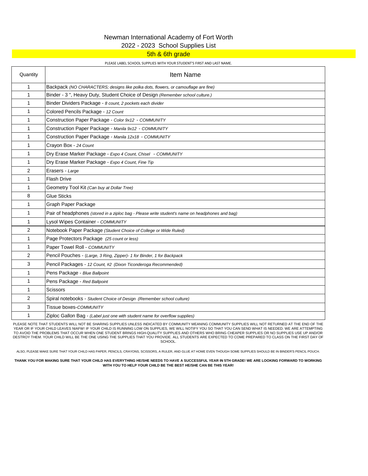### Newman International Academy of Fort Worth 2022 - 2023 School Supplies List

### 5th & 6th grade

#### PLEASE LABEL SCHOOL SUPPLIES WITH YOUR STUDENT'S FIRST AND LAST NAME.

| Quantity       | <b>Item Name</b>                                                                                |
|----------------|-------------------------------------------------------------------------------------------------|
| 1              | Backpack (NO CHARACTERS; designs like polka dots, flowers, or camouflage are fine)              |
| 1              | Binder - 3", Heavy Duty, Student Choice of Design (Remember school culture.)                    |
| $\mathbf{1}$   | Binder Dividers Package - 8 count, 2 pockets each divider                                       |
| 1              | Colored Pencils Package - 12 Count                                                              |
| 1              | Construction Paper Package - Color 9x12 - COMMUNITY                                             |
| 1              | Construction Paper Package - Manila 9x12 - COMMUNITY                                            |
| $\mathbf{1}$   | Construction Paper Package - Manila 12x18 - COMMUNITY                                           |
| $\mathbf{1}$   | Crayon Box - 24 Count                                                                           |
| 1              | Dry Erase Marker Package - Expo 4 Count, Chisel - COMMUNITY                                     |
| $\mathbf{1}$   | Dry Erase Marker Package - Expo 4 Count, Fine Tip                                               |
| 2              | Erasers - Large                                                                                 |
| $\mathbf{1}$   | <b>Flash Drive</b>                                                                              |
| 1              | Geometry Tool Kit (Can buy at Dollar Tree)                                                      |
| 8              | <b>Glue Sticks</b>                                                                              |
| 1              | Graph Paper Package                                                                             |
| 1              | Pair of headphones (stored in a ziploc bag - Please write student's name on headphones and bag) |
| 1              | Lysol Wipes Container - COMMUNITY                                                               |
| $\overline{2}$ | Notebook Paper Package (Student Choice of College or Wide Ruled)                                |
| $\mathbf{1}$   | Page Protectors Package (25 count or less)                                                      |
| 1              | Paper Towel Roll - COMMUNITY                                                                    |
| $\overline{2}$ | Pencil Pouches - (Large, 3 Ring, Zipper)- 1 for Binder, 1 for Backpack                          |
| 3              | Pencil Packages - 12 Count, #2 (Dixon Ticonderoga Recommended)                                  |
| $\mathbf{1}$   | Pens Package - Blue Ballpoint                                                                   |
| 1              | Pens Package - Red Ballpoint                                                                    |
| $\mathbf{1}$   | <b>Scissors</b>                                                                                 |
| $\overline{2}$ | Spiral notebooks - Student Choice of Design (Remember school culture)                           |
| 3              | Tissue boxes-COMMUNITY                                                                          |
| $\mathbf{1}$   | Ziploc Gallon Bag - (Label just one with student name for overflow supplies)                    |

PLEASE NOTE THAT STUDENTS WILL NOT BE SHARING SUPPLIES UNLESS INDICATED BY COMMUNITY MEANING COMMUNITY SUPPLIES WILL NOT RETURNED AT THE END OF THE YEAR OR IF YOUR CHILD LEAVES NIAFW! IF YOUR CHILD IS RUNNING LOW ON SUPPLIES, WE WILL NOTIFY YOU SO THAT YOU CAN SEND WHAT IS NEEDED. WE ARE ATTEMPTING TO AVOID THE PROBLEMS THAT OCCUR WHEN ONE STUDENT BRINGS HIGH-QUALITY SUPPLIES AND OTHERS WHO BRING CHEAPER SUPPLIES OR NO SUPPLIES USE UP AND/OR<br>DESTROY THEM. YOUR CHILD WILL BE THE ONE USING THE SUPPLIES THAT YOU PROVIDE SCHOOL.

ALSO, PLEASE MAKE SURE THAT YOUR CHILD HAS PAPER, PENCILS, CRAYONS, SCISSORS, A RULER, AND GLUE AT HOME EVEN THOUGH SOME SUPPLIES SHOULD BE IN BINDER'S PENCIL POUCH.

**THANK YOU FOR MAKING SURE THAT YOUR CHILD HAS EVERYTHING HE/SHE NEEDS TO HAVE A SUCCESSFUL YEAR IN 5TH GRADE! WE ARE LOOKING FORWARD TO WORKING WITH YOU TO HELP YOUR CHILD BE THE BEST HE/SHE CAN BE THIS YEAR!**